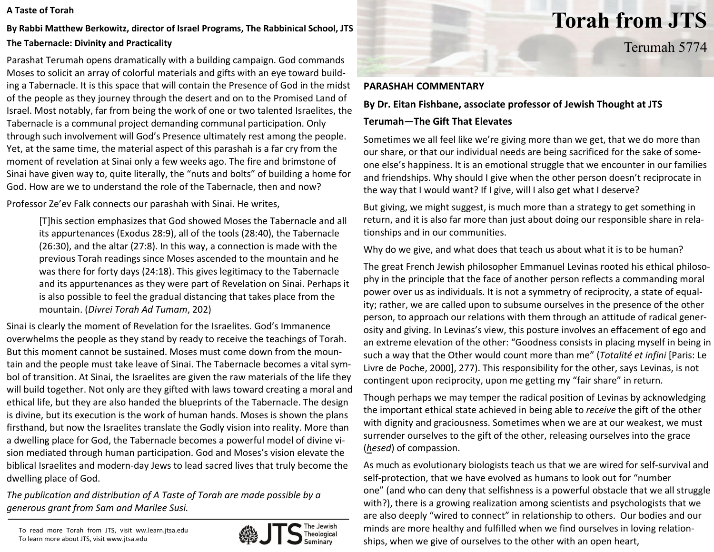#### **A Taste of Torah**

# **By Rabbi Matthew Berkowitz, director of Israel Programs, The Rabbinical School, JTS The Tabernacle: Divinity and Practicality**

Parashat Terumah opens dramatically with <sup>a</sup> building campaign. God commands Moses to solicit an array of colorful materials and gifts with an eye toward build‐ ing <sup>a</sup> Tabernacle. It is this space that will contain the Presence of God in the midst of the people as they journey through the desert an d on to the Promised Land of Israel. Most notably, far from being the work of one or two talented Israelites, the Tabernacle is <sup>a</sup> communal project demanding communal participation. Only through such involvement will God's Presence ultimately rest among the people. Yet, at the same time, the material aspect of this parashah is <sup>a</sup> far cry from the moment of revelation at Sinai only <sup>a</sup> few weeks ago. The fire and brimstone of Sinai have given way to, quite literally, the "nuts and bolts" of building <sup>a</sup> home for God. How are we to understand the role of the Tabernacle, then and now?

Professor Ze'ev Falk connects our parashah with Sinai. He writes,

[T]his section emphasizes that God showed Moses the Tabernacle and all its appurtenances (Exodus 28:9), all of the tools (28:40), the Tabernacle (26:30), and the altar (27:8). In this way, <sup>a</sup> connection is made with the previous Torah readings since Moses ascended to the mountain and he was there for forty days (24:18). This gives legitimacy to the Tabernacle and its appurtenances as they were part of Revelation on Sinai. Perhaps it is also possible to feel the gradual distancing that takes place from the mountain. (*Divrei Torah Ad Tumam*, 202)

Sinai is clearly the moment of Revelation for the Israelites. God's Immanence overwhelms the people as they stand by ready to receive the teachings of Torah. But this moment cannot be sustained. Moses must come down from the moun‐ tain and the people must take leave of Sinai. The Tabernacle becomes <sup>a</sup> vital sym‐ bol of transition. At Sinai, the Israelites are given the raw materials of the life they will build together. Not only are they gifted with laws toward creating <sup>a</sup> moral and ethical life, but they are also handed the blueprints of the Tabernacle. The design is divine, but its execution is the work of human hands. Moses is shown the plans firsthand, but now the Israelites translate the Godly vision into reality. More than a dwelling place for God, the Tabernacle becomes <sup>a</sup> powerful model of divine vi‐ sion mediated through human participation. God and Moses's vision elevate the biblical Israelites and modern‐day Jews to lead sacred lives that truly become the dwelling place of God.

*The publication and distribution of A Taste of Torah are made possible by a generous grant from Sam and Marilee Susi.*

To read more Torah from JTS, visit ww.learn.jtsa.edu To learn more about JTS, visit www.jtsa.edu



# **Torah from JTS**

Terumah 5774

#### **PARASHAH COMMENTARY**

## **By Dr. Eitan Fishbane, associate professor of Jewish Thought at JTS**

### **Terumah***—***The Gift That Elevates**

Sometimes we all feel like we're giving more than we get, that we do more than our share, or that our individual needs are being sacrificed for the sake of some‐ one else's happiness. It is an emotional struggle that we encounter in our families and friendships. Why should I give when the other person doesn't reciprocate in the way that I would want? If I give, will I also get what I deserve?

But giving, we might suggest, is much more than <sup>a</sup> strategy to get something in return, and it is also far more than just about doing our responsible share in rela‐ tionships and in our communities.

Why do we give, and what does that teach us about what it is to be human?

The great French Jewish philosopher Emmanuel Levinas rooted his ethical philoso‐ phy in the principle that the face of another person reflects <sup>a</sup> commanding moral power over us as individuals. It is not <sup>a</sup> symmetry of reciprocity, <sup>a</sup> state of equal‐ ity; rather, we are called upon to subsume ourselves in the presence of the other person, to approach our relations with them through an attitude of radical gener‐ osity and giving. In Levinas's view, this posture involves an effacement of ego and an extreme elevation of the other: "Goodness consists in placing myself in being in such <sup>a</sup> way that the Other would count more than me" (*Totalit é et infini* [Paris: Le Livre de Poche, 2000], 277). This responsibility for the other, says Levinas, is not contingent upon reciprocity, upon me getting my "fair share" in return.

Though perhaps we may temper the radical position of Levinas by acknowledging the important ethical state achieved in being able to *receive* the gift of the other with dignity and graciousness. Sometimes when we are at our weakest, we must surrender ourselves to the gift of the other, releasing ourselves into the grace (*hesed*) of compassion.

As much as evolutionary biologists teach us that we are wired for self‐survival and self-protection, that we have evolved as humans to look out for "number one" (and who can deny that selfishness is <sup>a</sup> powerful obstacle that we all struggle with?), there is <sup>a</sup> growing realization among scientists and psychologists that we are also deeply "wired to connect" in relationship to others. Our bodies and our minds are more healthy and fulfilled when we find ourselves in loving relation‐ ships, when we give of ourselves to the other with an open heart,